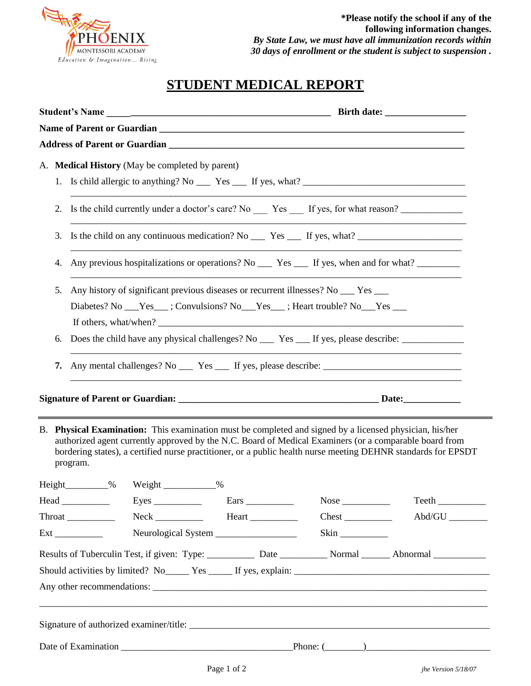

## **STUDENT MEDICAL REPORT**

| A. Medical History (May be completed by parent)                                                                                                                                                                                                                                                                                                |                               |
|------------------------------------------------------------------------------------------------------------------------------------------------------------------------------------------------------------------------------------------------------------------------------------------------------------------------------------------------|-------------------------------|
|                                                                                                                                                                                                                                                                                                                                                |                               |
| 2. Is the child currently under a doctor's care? No _______ Yes ______ If yes, for what reason? ______________                                                                                                                                                                                                                                 |                               |
| 3.<br><u> 1989 - Johann Barn, amerikan bernama di sebagai bernama dalam bernama dalam bernama dalam bernama dalam bern</u>                                                                                                                                                                                                                     |                               |
| Any previous hospitalizations or operations? No $\_\_\$ Yes $\_\_\$ If yes, when and for what?<br>4.                                                                                                                                                                                                                                           |                               |
| Any history of significant previous diseases or recurrent illnesses? No __ Yes __<br>5.<br>Diabetes? No ___Yes___; Convulsions? No ___Yes___; Heart trouble? No ___Yes ___                                                                                                                                                                     |                               |
| Does the child have any physical challenges? No ______ Yes _____ If yes, please describe: ____________________<br>6.<br><u> 1989 - Johann Barn, mars and de Brandenburg and de Brandenburg and de Brandenburg and de Brandenburg and de B</u>                                                                                                  |                               |
|                                                                                                                                                                                                                                                                                                                                                |                               |
|                                                                                                                                                                                                                                                                                                                                                |                               |
| B. Physical Examination: This examination must be completed and signed by a licensed physician, his/her<br>authorized agent currently approved by the N.C. Board of Medical Examiners (or a comparable board from<br>bordering states), a certified nurse practitioner, or a public health nurse meeting DEHNR standards for EPSDT<br>program. |                               |
| Weight<br>%<br>%                                                                                                                                                                                                                                                                                                                               |                               |
|                                                                                                                                                                                                                                                                                                                                                |                               |
| $Neck$ $\qquad \qquad$ Heart $\qquad \qquad$<br>Throat                                                                                                                                                                                                                                                                                         | $Abd/GU$ <sub>_________</sub> |
|                                                                                                                                                                                                                                                                                                                                                |                               |
| Results of Tuberculin Test, if given: Type: ___________ Date ___________ Normal _______ Abnormal _________                                                                                                                                                                                                                                     |                               |
|                                                                                                                                                                                                                                                                                                                                                |                               |
|                                                                                                                                                                                                                                                                                                                                                |                               |
| ,我们也不能在这里的人,我们也不能在这里的人,我们也不能在这里的人,我们也不能在这里的人,我们也不能在这里的人,我们也不能在这里的人,我们也不能在这里的人,我们也                                                                                                                                                                                                                                                              |                               |